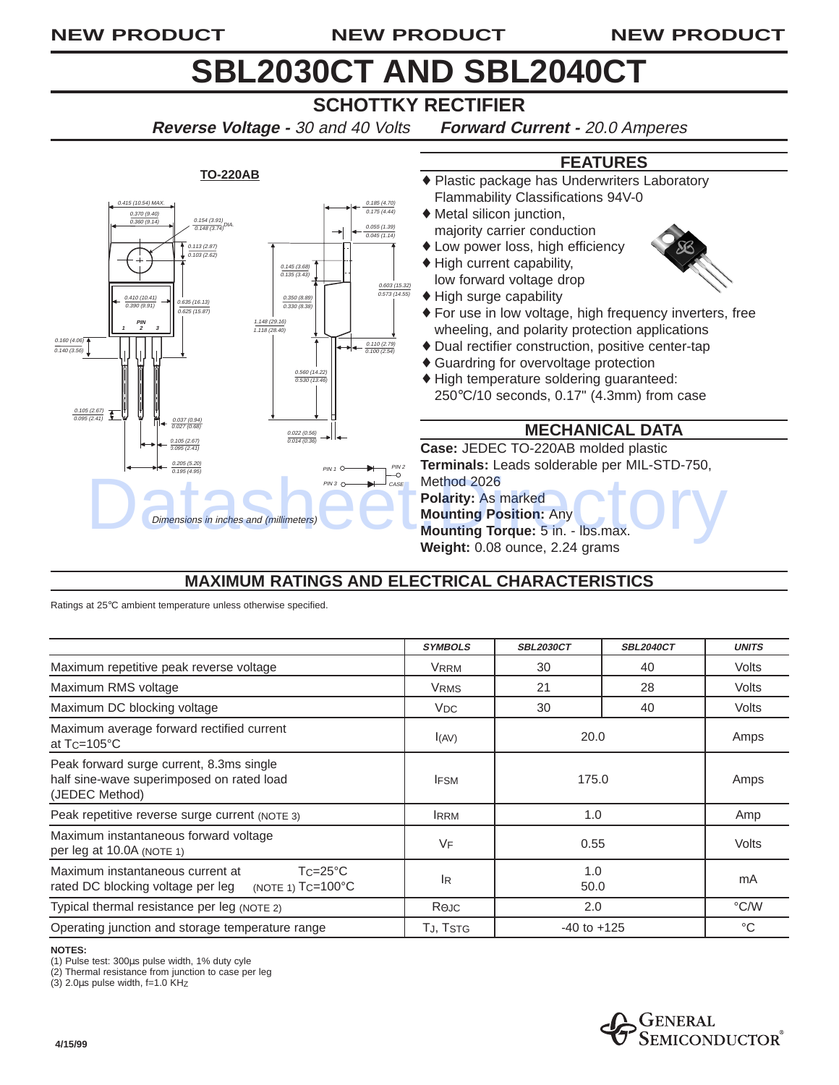#### **NEW PRODUCT NEW PRODUCT NEW PRODUCT**

# **SBL2030CT AND SBL2040CT**

## **SCHOTTKY RECTIFIER**

**Reverse Voltage -** 30 and 40 Volts **Forward Current -** 20.0 Amperes

#### **TO-220AB** Dimensions in inches and (millimeters) 0.154 (3.91)<br>0.148 (3.74) 0.113 (2.87) 0.103 (2.62) 0.185 (4.70) 0.175 (4.44) 0.055 (1.39) 0.045 (1.14) 0<u>.145 (3.68)</u><br>0.135 (3.43) 0.350 (8.89) 0.330 (8.38) 0.160 (4.06)  $0.140(3.56)$ 0.037 (0.94) 0.027 (0.68) 0.205 (5.20) 0.195 (4.95) 0.560 (14.22) 0.530 (13.46) 0.022 (0.56) 0.014 (0.36) 0.110 (2.79) 0.100 (2.54) **1 23** 1.148 (29.16) 1.118 (28.40) 0.105 (2.67) 0.095 (2.41) 0.410 (10.41)  $\frac{0.990}{0.390}{0.91}$   $\rightarrow$  0.635 (16.13) 0.625 (15.87) 0.603 (15.32) 0.573 (14.55) **PIN** 15 (10.54) MA) 0.370 (9.40) 0.360 (9.14)  $PIN 1 C$  $PIN3 \n\bigcirc \n\longrightarrow CASE$ 0.105 (2.67) 0.095 (2.41) PIN 2

**FEATURES**

- ♦ Plastic package has Underwriters Laboratory Flammability Classifications 94V-0
- ♦ Metal silicon junction, majority carrier conduction
- ♦ Low power loss, high efficiency
- ♦ High current capability,



- ♦ For use in low voltage, high frequency inverters, free wheeling, and polarity protection applications
- ♦ Dual rectifier construction, positive center-tap
- ♦ Guardring for overvoltage protection
- ♦ High temperature soldering guaranteed: 250°C/10 seconds, 0.17" (4.3mm) from case

### **MECHANICAL DATA**

**Case:** JEDEC TO-220AB molded plastic **Terminals:** Leads solderable per MIL-STD-750, Method 2026 **Polarity:** As marked

## **MAXIMUM RATINGS AND ELECTRICAL CHARACTERISTICS**

| <b>MAXIMUM RATINGS AND ELECTRICAL CHARACTERISTICS</b>                                                                                                                           |                       |                  |                  |                      |
|---------------------------------------------------------------------------------------------------------------------------------------------------------------------------------|-----------------------|------------------|------------------|----------------------|
| Ratings at 25°C ambient temperature unless otherwise specified.                                                                                                                 |                       |                  |                  |                      |
|                                                                                                                                                                                 | <b>SYMBOLS</b>        | <b>SBL2030CT</b> | <b>SBL2040CT</b> | <b>UNITS</b>         |
| Maximum repetitive peak reverse voltage                                                                                                                                         | <b>VRRM</b>           | 30               | 40               | Volts                |
| Maximum RMS voltage                                                                                                                                                             | <b>VRMS</b>           | 21               | 28               | Volts                |
| Maximum DC blocking voltage                                                                                                                                                     | <b>V<sub>DC</sub></b> | 30               | 40               | Volts                |
| Maximum average forward rectified current<br>at $T_C = 105$ °C                                                                                                                  | I(AV)                 | 20.0             |                  | Amps                 |
| Peak forward surge current, 8.3ms single<br>half sine-wave superimposed on rated load<br>(JEDEC Method)                                                                         | <b>IFSM</b>           | 175.0            |                  | Amps                 |
| Peak repetitive reverse surge current (NOTE 3)                                                                                                                                  | <b>IRRM</b>           | 1.0              |                  | Amp                  |
| Maximum instantaneous forward voltage<br>per leg at 10.0A (NOTE 1)                                                                                                              | VF                    | 0.55             |                  | Volts                |
| $Tc = 25^{\circ}C$<br>Maximum instantaneous current at<br>(NOTE 1) TC=100°C<br>rated DC blocking voltage per leg                                                                | l <sub>R</sub>        | 1.0<br>50.0      |                  | mA                   |
| Typical thermal resistance per leg (NOTE 2)                                                                                                                                     | $R$ $\Theta$ JC       | 2.0              |                  | °C/W                 |
| Operating junction and storage temperature range                                                                                                                                | TJ, TSTG              | $-40$ to $+125$  |                  | $^{\circ}C$          |
| <b>NOTES:</b><br>(1) Pulse test: 300µs pulse width, 1% duty cyle<br>(2) Thermal resistance from junction to case per leg<br>$(3)$ 2.0 $\mu$ s pulse width, f=1.0 KHz<br>4/15/99 |                       |                  | GENERAL          | <b>SEMICONDUCTOR</b> |

#### **NOTES:**